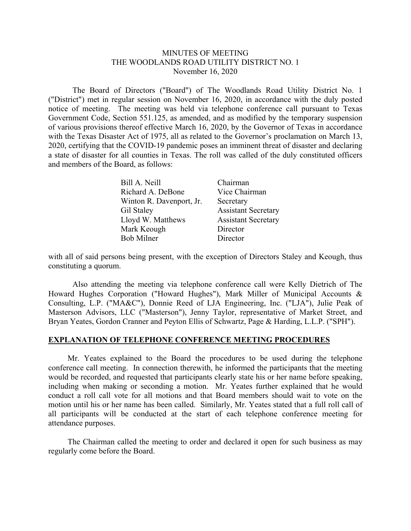### MINUTES OF MEETING THE WOODLANDS ROAD UTILITY DISTRICT NO. 1 November 16, 2020

 The Board of Directors ("Board") of The Woodlands Road Utility District No. 1 ("District") met in regular session on November 16, 2020, in accordance with the duly posted notice of meeting. The meeting was held via telephone conference call pursuant to Texas Government Code, Section 551.125, as amended, and as modified by the temporary suspension of various provisions thereof effective March 16, 2020, by the Governor of Texas in accordance with the Texas Disaster Act of 1975, all as related to the Governor's proclamation on March 13, 2020, certifying that the COVID-19 pandemic poses an imminent threat of disaster and declaring a state of disaster for all counties in Texas. The roll was called of the duly constituted officers and members of the Board, as follows:

| Bill A. Neill            | Chairman                   |
|--------------------------|----------------------------|
| Richard A. DeBone        | Vice Chairman              |
| Winton R. Davenport, Jr. | Secretary                  |
| Gil Staley               | <b>Assistant Secretary</b> |
| Lloyd W. Matthews        | <b>Assistant Secretary</b> |
| Mark Keough              | Director                   |
| <b>Bob Milner</b>        | Director                   |

with all of said persons being present, with the exception of Directors Staley and Keough, thus constituting a quorum.

Also attending the meeting via telephone conference call were Kelly Dietrich of The Howard Hughes Corporation ("Howard Hughes"), Mark Miller of Municipal Accounts & Consulting, L.P. ("MA&C"), Donnie Reed of LJA Engineering, Inc. ("LJA"), Julie Peak of Masterson Advisors, LLC ("Masterson"), Jenny Taylor, representative of Market Street, and Bryan Yeates, Gordon Cranner and Peyton Ellis of Schwartz, Page & Harding, L.L.P. ("SPH").

## **EXPLANATION OF TELEPHONE CONFERENCE MEETING PROCEDURES**

 Mr. Yeates explained to the Board the procedures to be used during the telephone conference call meeting. In connection therewith, he informed the participants that the meeting would be recorded, and requested that participants clearly state his or her name before speaking, including when making or seconding a motion. Mr. Yeates further explained that he would conduct a roll call vote for all motions and that Board members should wait to vote on the motion until his or her name has been called. Similarly, Mr. Yeates stated that a full roll call of all participants will be conducted at the start of each telephone conference meeting for attendance purposes.

 The Chairman called the meeting to order and declared it open for such business as may regularly come before the Board.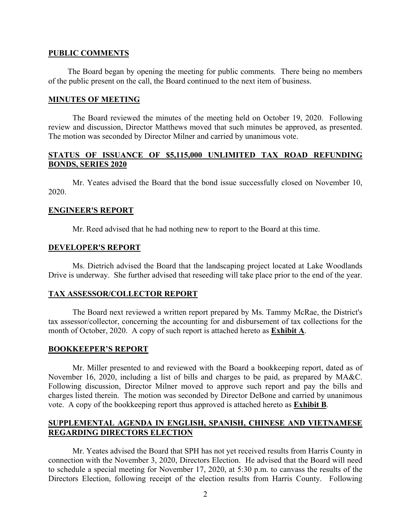#### **PUBLIC COMMENTS**

 The Board began by opening the meeting for public comments. There being no members of the public present on the call, the Board continued to the next item of business.

#### **MINUTES OF MEETING**

The Board reviewed the minutes of the meeting held on October 19, 2020. Following review and discussion, Director Matthews moved that such minutes be approved, as presented. The motion was seconded by Director Milner and carried by unanimous vote.

## **STATUS OF ISSUANCE OF \$5,115,000 UNLIMITED TAX ROAD REFUNDING BONDS, SERIES 2020**

 Mr. Yeates advised the Board that the bond issue successfully closed on November 10, 2020.

#### **ENGINEER'S REPORT**

Mr. Reed advised that he had nothing new to report to the Board at this time.

#### **DEVELOPER'S REPORT**

 Ms. Dietrich advised the Board that the landscaping project located at Lake Woodlands Drive is underway. She further advised that reseeding will take place prior to the end of the year.

#### **TAX ASSESSOR/COLLECTOR REPORT**

 The Board next reviewed a written report prepared by Ms. Tammy McRae, the District's tax assessor/collector, concerning the accounting for and disbursement of tax collections for the month of October, 2020. A copy of such report is attached hereto as **Exhibit A**.

### **BOOKKEEPER'S REPORT**

Mr. Miller presented to and reviewed with the Board a bookkeeping report, dated as of November 16, 2020, including a list of bills and charges to be paid, as prepared by MA&C. Following discussion, Director Milner moved to approve such report and pay the bills and charges listed therein. The motion was seconded by Director DeBone and carried by unanimous vote. A copy of the bookkeeping report thus approved is attached hereto as **Exhibit B**.

### **SUPPLEMENTAL AGENDA IN ENGLISH, SPANISH, CHINESE AND VIETNAMESE REGARDING DIRECTORS ELECTION**

 Mr. Yeates advised the Board that SPH has not yet received results from Harris County in connection with the November 3, 2020, Directors Election. He advised that the Board will need to schedule a special meeting for November 17, 2020, at 5:30 p.m. to canvass the results of the Directors Election, following receipt of the election results from Harris County. Following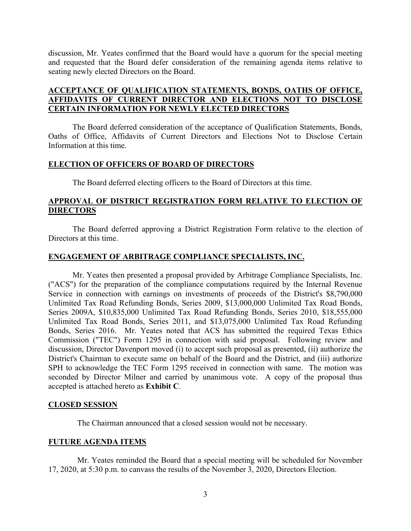discussion, Mr. Yeates confirmed that the Board would have a quorum for the special meeting and requested that the Board defer consideration of the remaining agenda items relative to seating newly elected Directors on the Board.

## **ACCEPTANCE OF QUALIFICATION STATEMENTS, BONDS, OATHS OF OFFICE, AFFIDAVITS OF CURRENT DIRECTOR AND ELECTIONS NOT TO DISCLOSE CERTAIN INFORMATION FOR NEWLY ELECTED DIRECTORS**

 The Board deferred consideration of the acceptance of Qualification Statements, Bonds, Oaths of Office, Affidavits of Current Directors and Elections Not to Disclose Certain Information at this time.

## **ELECTION OF OFFICERS OF BOARD OF DIRECTORS**

The Board deferred electing officers to the Board of Directors at this time.

## **APPROVAL OF DISTRICT REGISTRATION FORM RELATIVE TO ELECTION OF DIRECTORS**

 The Board deferred approving a District Registration Form relative to the election of Directors at this time.

## **ENGAGEMENT OF ARBITRAGE COMPLIANCE SPECIALISTS, INC.**

 Mr. Yeates then presented a proposal provided by Arbitrage Compliance Specialists, Inc. ("ACS") for the preparation of the compliance computations required by the Internal Revenue Service in connection with earnings on investments of proceeds of the District's \$8,790,000 Unlimited Tax Road Refunding Bonds, Series 2009, \$13,000,000 Unlimited Tax Road Bonds, Series 2009A, \$10,835,000 Unlimited Tax Road Refunding Bonds, Series 2010, \$18,555,000 Unlimited Tax Road Bonds, Series 2011, and \$13,075,000 Unlimited Tax Road Refunding Bonds, Series 2016. Mr. Yeates noted that ACS has submitted the required Texas Ethics Commission ("TEC") Form 1295 in connection with said proposal. Following review and discussion, Director Davenport moved (i) to accept such proposal as presented, (ii) authorize the District's Chairman to execute same on behalf of the Board and the District, and (iii) authorize SPH to acknowledge the TEC Form 1295 received in connection with same. The motion was seconded by Director Milner and carried by unanimous vote. A copy of the proposal thus accepted is attached hereto as **Exhibit C**.

## **CLOSED SESSION**

The Chairman announced that a closed session would not be necessary.

## **FUTURE AGENDA ITEMS**

 Mr. Yeates reminded the Board that a special meeting will be scheduled for November 17, 2020, at 5:30 p.m. to canvass the results of the November 3, 2020, Directors Election.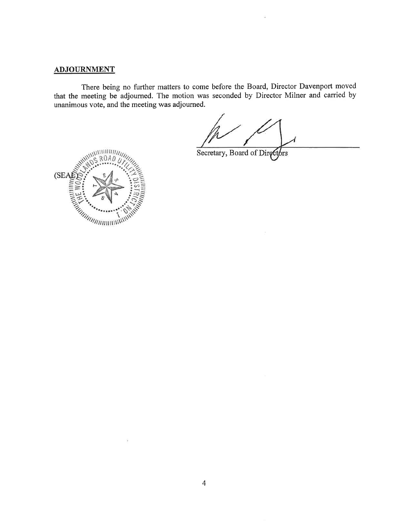# **ADJOURNMENT**

There being no further matters to come before the Board, Director Davenport moved that the meeting be adjourned. The motion was seconded by Director Milner and carried by unanimous vote, and the meeting was adjourned.

Secretary, Board of Directors